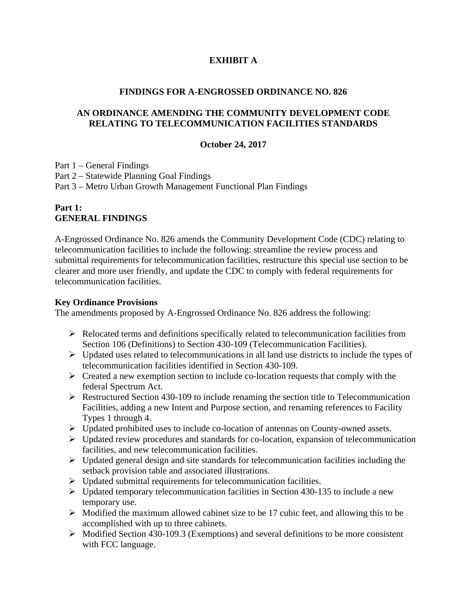# **EXHIBIT A**

#### **FINDINGS FOR A-ENGROSSED ORDINANCE NO. 826**

#### **AN ORDINANCE AMENDING THE COMMUNITY DEVELOPMENT CODE RELATING TO TELECOMMUNICATION FACILITIES STANDARDS**

#### **October 24, 2017**

Part 1 – General Findings

Part 2 – Statewide Planning Goal Findings

Part 3 – Metro Urban Growth Management Functional Plan Findings

## **Part 1: GENERAL FINDINGS**

A-Engrossed Ordinance No. 826 amends the Community Development Code (CDC) relating to telecommunication facilities to include the following: streamline the review process and submittal requirements for telecommunication facilities, restructure this special use section to be clearer and more user friendly, and update the CDC to comply with federal requirements for telecommunication facilities.

#### **Key Ordinance Provisions**

The amendments proposed by A-Engrossed Ordinance No. 826 address the following:

- $\triangleright$  Relocated terms and definitions specifically related to telecommunication facilities from Section 106 (Definitions) to Section 430-109 (Telecommunication Facilities).
- $\triangleright$  Updated uses related to telecommunications in all land use districts to include the types of telecommunication facilities identified in Section 430-109.
- $\triangleright$  Created a new exemption section to include co-location requests that comply with the federal Spectrum Act.
- $\triangleright$  Restructured Section 430-109 to include renaming the section title to Telecommunication Facilities, adding a new Intent and Purpose section, and renaming references to Facility Types 1 through 4.
- Updated prohibited uses to include co-location of antennas on County-owned assets.
- $\triangleright$  Updated review procedures and standards for co-location, expansion of telecommunication facilities, and new telecommunication facilities.
- $\triangleright$  Updated general design and site standards for telecommunication facilities including the setback provision table and associated illustrations.
- $\triangleright$  Updated submittal requirements for telecommunication facilities.
- $\triangleright$  Updated temporary telecommunication facilities in Section 430-135 to include a new temporary use.
- $\triangleright$  Modified the maximum allowed cabinet size to be 17 cubic feet, and allowing this to be accomplished with up to three cabinets.
- $\triangleright$  Modified Section 430-109.3 (Exemptions) and several definitions to be more consistent with FCC language.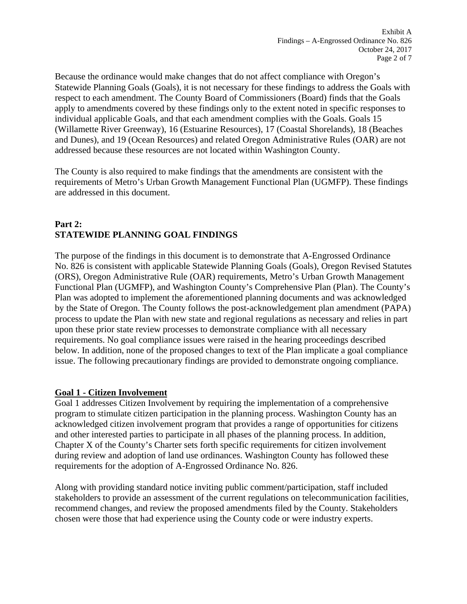Because the ordinance would make changes that do not affect compliance with Oregon's Statewide Planning Goals (Goals), it is not necessary for these findings to address the Goals with respect to each amendment. The County Board of Commissioners (Board) finds that the Goals apply to amendments covered by these findings only to the extent noted in specific responses to individual applicable Goals, and that each amendment complies with the Goals. Goals 15 (Willamette River Greenway), 16 (Estuarine Resources), 17 (Coastal Shorelands), 18 (Beaches and Dunes), and 19 (Ocean Resources) and related Oregon Administrative Rules (OAR) are not addressed because these resources are not located within Washington County.

The County is also required to make findings that the amendments are consistent with the requirements of Metro's Urban Growth Management Functional Plan (UGMFP). These findings are addressed in this document.

# **Part 2: STATEWIDE PLANNING GOAL FINDINGS**

The purpose of the findings in this document is to demonstrate that A-Engrossed Ordinance No. 826 is consistent with applicable Statewide Planning Goals (Goals), Oregon Revised Statutes (ORS), Oregon Administrative Rule (OAR) requirements, Metro's Urban Growth Management Functional Plan (UGMFP), and Washington County's Comprehensive Plan (Plan). The County's Plan was adopted to implement the aforementioned planning documents and was acknowledged by the State of Oregon. The County follows the post-acknowledgement plan amendment (PAPA) process to update the Plan with new state and regional regulations as necessary and relies in part upon these prior state review processes to demonstrate compliance with all necessary requirements. No goal compliance issues were raised in the hearing proceedings described below. In addition, none of the proposed changes to text of the Plan implicate a goal compliance issue. The following precautionary findings are provided to demonstrate ongoing compliance.

### **Goal 1 - Citizen Involvement**

Goal 1 addresses Citizen Involvement by requiring the implementation of a comprehensive program to stimulate citizen participation in the planning process. Washington County has an acknowledged citizen involvement program that provides a range of opportunities for citizens and other interested parties to participate in all phases of the planning process. In addition, Chapter X of the County's Charter sets forth specific requirements for citizen involvement during review and adoption of land use ordinances. Washington County has followed these requirements for the adoption of A-Engrossed Ordinance No. 826.

Along with providing standard notice inviting public comment/participation, staff included stakeholders to provide an assessment of the current regulations on telecommunication facilities, recommend changes, and review the proposed amendments filed by the County. Stakeholders chosen were those that had experience using the County code or were industry experts.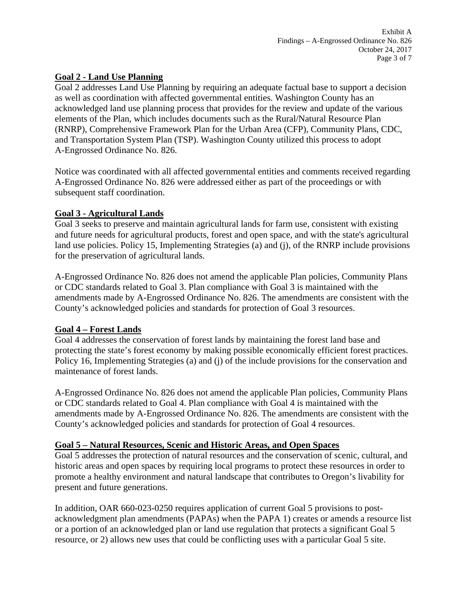#### **Goal 2 - Land Use Planning**

Goal 2 addresses Land Use Planning by requiring an adequate factual base to support a decision as well as coordination with affected governmental entities. Washington County has an acknowledged land use planning process that provides for the review and update of the various elements of the Plan, which includes documents such as the Rural/Natural Resource Plan (RNRP), Comprehensive Framework Plan for the Urban Area (CFP), Community Plans, CDC, and Transportation System Plan (TSP). Washington County utilized this process to adopt A-Engrossed Ordinance No. 826.

Notice was coordinated with all affected governmental entities and comments received regarding A-Engrossed Ordinance No. 826 were addressed either as part of the proceedings or with subsequent staff coordination.

#### **Goal 3 - Agricultural Lands**

Goal 3 seeks to preserve and maintain agricultural lands for farm use, consistent with existing and future needs for agricultural products, forest and open space, and with the state's agricultural land use policies. Policy 15, Implementing Strategies (a) and (j), of the RNRP include provisions for the preservation of agricultural lands.

A-Engrossed Ordinance No. 826 does not amend the applicable Plan policies, Community Plans or CDC standards related to Goal 3. Plan compliance with Goal 3 is maintained with the amendments made by A-Engrossed Ordinance No. 826. The amendments are consistent with the County's acknowledged policies and standards for protection of Goal 3 resources.

### **Goal 4 – Forest Lands**

Goal 4 addresses the conservation of forest lands by maintaining the forest land base and protecting the state's forest economy by making possible economically efficient forest practices. Policy 16, Implementing Strategies (a) and (j) of the include provisions for the conservation and maintenance of forest lands.

A-Engrossed Ordinance No. 826 does not amend the applicable Plan policies, Community Plans or CDC standards related to Goal 4. Plan compliance with Goal 4 is maintained with the amendments made by A-Engrossed Ordinance No. 826. The amendments are consistent with the County's acknowledged policies and standards for protection of Goal 4 resources.

### **Goal 5 – Natural Resources, Scenic and Historic Areas, and Open Spaces**

Goal 5 addresses the protection of natural resources and the conservation of scenic, cultural, and historic areas and open spaces by requiring local programs to protect these resources in order to promote a healthy environment and natural landscape that contributes to Oregon's livability for present and future generations.

In addition, OAR 660-023-0250 requires application of current Goal 5 provisions to postacknowledgment plan amendments (PAPAs) when the PAPA 1) creates or amends a resource list or a portion of an acknowledged plan or land use regulation that protects a significant Goal 5 resource, or 2) allows new uses that could be conflicting uses with a particular Goal 5 site.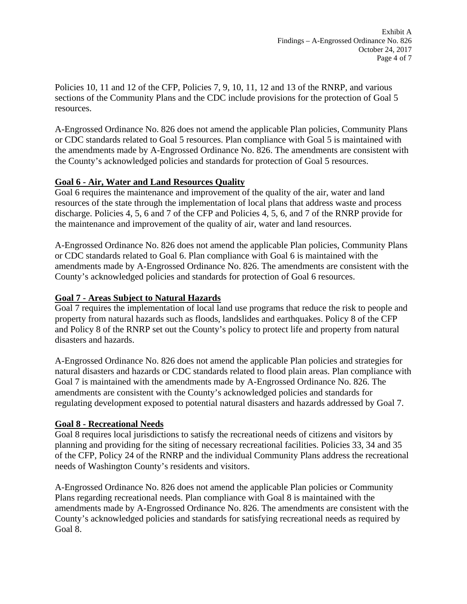Policies 10, 11 and 12 of the CFP, Policies 7, 9, 10, 11, 12 and 13 of the RNRP, and various sections of the Community Plans and the CDC include provisions for the protection of Goal 5 resources.

A-Engrossed Ordinance No. 826 does not amend the applicable Plan policies, Community Plans or CDC standards related to Goal 5 resources. Plan compliance with Goal 5 is maintained with the amendments made by A-Engrossed Ordinance No. 826. The amendments are consistent with the County's acknowledged policies and standards for protection of Goal 5 resources.

### **Goal 6 - Air, Water and Land Resources Quality**

Goal 6 requires the maintenance and improvement of the quality of the air, water and land resources of the state through the implementation of local plans that address waste and process discharge. Policies 4, 5, 6 and 7 of the CFP and Policies 4, 5, 6, and 7 of the RNRP provide for the maintenance and improvement of the quality of air, water and land resources.

A-Engrossed Ordinance No. 826 does not amend the applicable Plan policies, Community Plans or CDC standards related to Goal 6. Plan compliance with Goal 6 is maintained with the amendments made by A-Engrossed Ordinance No. 826. The amendments are consistent with the County's acknowledged policies and standards for protection of Goal 6 resources.

# **Goal 7 - Areas Subject to Natural Hazards**

Goal 7 requires the implementation of local land use programs that reduce the risk to people and property from natural hazards such as floods, landslides and earthquakes. Policy 8 of the CFP and Policy 8 of the RNRP set out the County's policy to protect life and property from natural disasters and hazards.

A-Engrossed Ordinance No. 826 does not amend the applicable Plan policies and strategies for natural disasters and hazards or CDC standards related to flood plain areas. Plan compliance with Goal 7 is maintained with the amendments made by A-Engrossed Ordinance No. 826. The amendments are consistent with the County's acknowledged policies and standards for regulating development exposed to potential natural disasters and hazards addressed by Goal 7.

### **Goal 8 - Recreational Needs**

Goal 8 requires local jurisdictions to satisfy the recreational needs of citizens and visitors by planning and providing for the siting of necessary recreational facilities. Policies 33, 34 and 35 of the CFP, Policy 24 of the RNRP and the individual Community Plans address the recreational needs of Washington County's residents and visitors.

A-Engrossed Ordinance No. 826 does not amend the applicable Plan policies or Community Plans regarding recreational needs. Plan compliance with Goal 8 is maintained with the amendments made by A-Engrossed Ordinance No. 826. The amendments are consistent with the County's acknowledged policies and standards for satisfying recreational needs as required by Goal 8.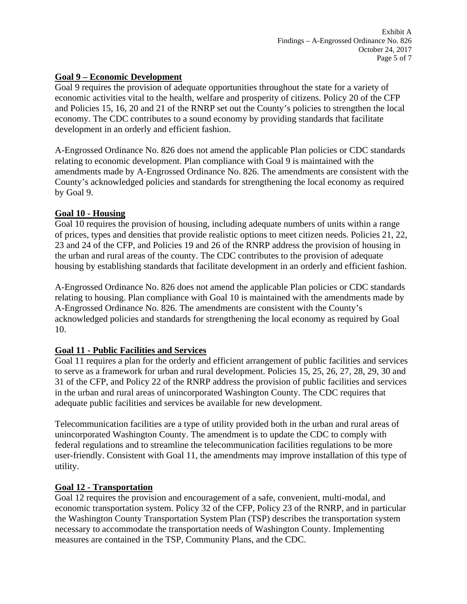#### **Goal 9 – Economic Development**

Goal 9 requires the provision of adequate opportunities throughout the state for a variety of economic activities vital to the health, welfare and prosperity of citizens. Policy 20 of the CFP and Policies 15, 16, 20 and 21 of the RNRP set out the County's policies to strengthen the local economy. The CDC contributes to a sound economy by providing standards that facilitate development in an orderly and efficient fashion.

A-Engrossed Ordinance No. 826 does not amend the applicable Plan policies or CDC standards relating to economic development. Plan compliance with Goal 9 is maintained with the amendments made by A-Engrossed Ordinance No. 826. The amendments are consistent with the County's acknowledged policies and standards for strengthening the local economy as required by Goal 9.

### **Goal 10 - Housing**

Goal 10 requires the provision of housing, including adequate numbers of units within a range of prices, types and densities that provide realistic options to meet citizen needs. Policies 21, 22, 23 and 24 of the CFP, and Policies 19 and 26 of the RNRP address the provision of housing in the urban and rural areas of the county. The CDC contributes to the provision of adequate housing by establishing standards that facilitate development in an orderly and efficient fashion.

A-Engrossed Ordinance No. 826 does not amend the applicable Plan policies or CDC standards relating to housing. Plan compliance with Goal 10 is maintained with the amendments made by A-Engrossed Ordinance No. 826. The amendments are consistent with the County's acknowledged policies and standards for strengthening the local economy as required by Goal 10.

### **Goal 11 - Public Facilities and Services**

Goal 11 requires a plan for the orderly and efficient arrangement of public facilities and services to serve as a framework for urban and rural development. Policies 15, 25, 26, 27, 28, 29, 30 and 31 of the CFP, and Policy 22 of the RNRP address the provision of public facilities and services in the urban and rural areas of unincorporated Washington County. The CDC requires that adequate public facilities and services be available for new development.

Telecommunication facilities are a type of utility provided both in the urban and rural areas of unincorporated Washington County. The amendment is to update the CDC to comply with federal regulations and to streamline the telecommunication facilities regulations to be more user-friendly. Consistent with Goal 11, the amendments may improve installation of this type of utility.

### **Goal 12 - Transportation**

Goal 12 requires the provision and encouragement of a safe, convenient, multi-modal, and economic transportation system. Policy 32 of the CFP, Policy 23 of the RNRP, and in particular the Washington County Transportation System Plan (TSP) describes the transportation system necessary to accommodate the transportation needs of Washington County. Implementing measures are contained in the TSP, Community Plans, and the CDC.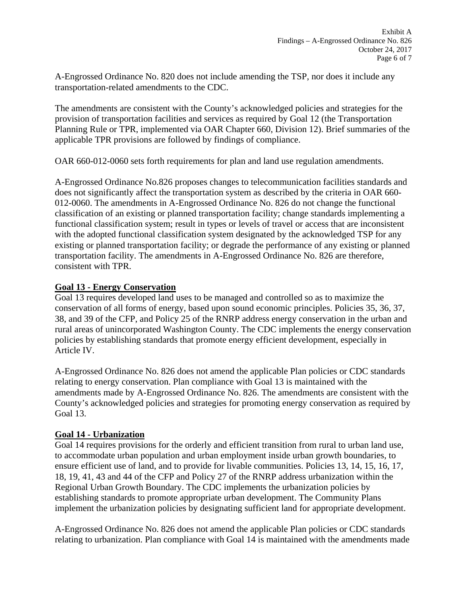A-Engrossed Ordinance No. 820 does not include amending the TSP, nor does it include any transportation-related amendments to the CDC.

The amendments are consistent with the County's acknowledged policies and strategies for the provision of transportation facilities and services as required by Goal 12 (the Transportation Planning Rule or TPR, implemented via OAR Chapter 660, Division 12). Brief summaries of the applicable TPR provisions are followed by findings of compliance.

OAR 660-012-0060 sets forth requirements for plan and land use regulation amendments.

A-Engrossed Ordinance No.826 proposes changes to telecommunication facilities standards and does not significantly affect the transportation system as described by the criteria in OAR 660- 012-0060. The amendments in A-Engrossed Ordinance No. 826 do not change the functional classification of an existing or planned transportation facility; change standards implementing a functional classification system; result in types or levels of travel or access that are inconsistent with the adopted functional classification system designated by the acknowledged TSP for any existing or planned transportation facility; or degrade the performance of any existing or planned transportation facility. The amendments in A-Engrossed Ordinance No. 826 are therefore, consistent with TPR.

### **Goal 13 - Energy Conservation**

Goal 13 requires developed land uses to be managed and controlled so as to maximize the conservation of all forms of energy, based upon sound economic principles. Policies 35, 36, 37, 38, and 39 of the CFP, and Policy 25 of the RNRP address energy conservation in the urban and rural areas of unincorporated Washington County. The CDC implements the energy conservation policies by establishing standards that promote energy efficient development, especially in Article IV.

A-Engrossed Ordinance No. 826 does not amend the applicable Plan policies or CDC standards relating to energy conservation. Plan compliance with Goal 13 is maintained with the amendments made by A-Engrossed Ordinance No. 826. The amendments are consistent with the County's acknowledged policies and strategies for promoting energy conservation as required by Goal 13.

## **Goal 14 - Urbanization**

Goal 14 requires provisions for the orderly and efficient transition from rural to urban land use, to accommodate urban population and urban employment inside urban growth boundaries, to ensure efficient use of land, and to provide for livable communities. Policies 13, 14, 15, 16, 17, 18, 19, 41, 43 and 44 of the CFP and Policy 27 of the RNRP address urbanization within the Regional Urban Growth Boundary. The CDC implements the urbanization policies by establishing standards to promote appropriate urban development. The Community Plans implement the urbanization policies by designating sufficient land for appropriate development.

A-Engrossed Ordinance No. 826 does not amend the applicable Plan policies or CDC standards relating to urbanization. Plan compliance with Goal 14 is maintained with the amendments made